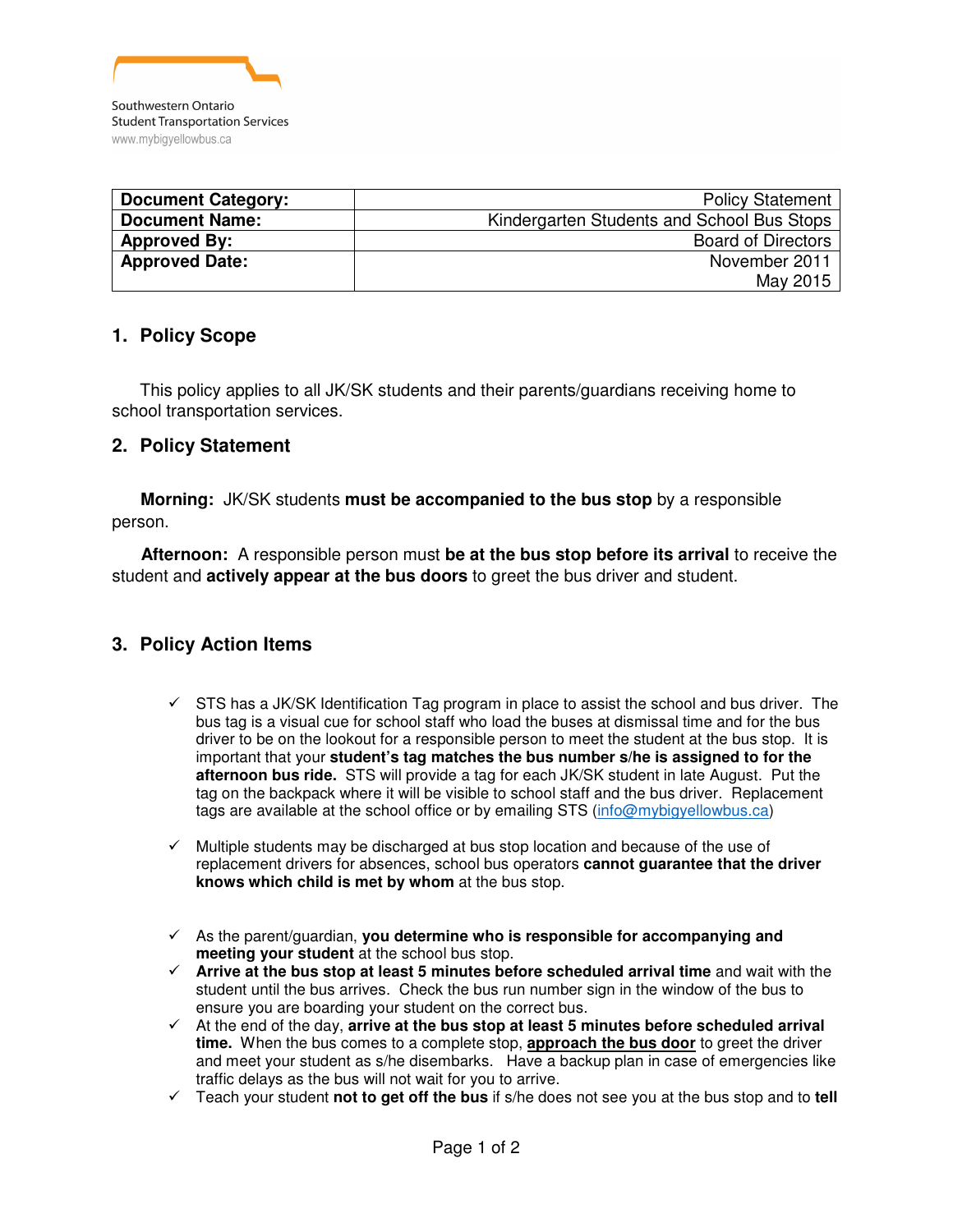

| <b>Document Category:</b> | <b>Policy Statement</b>                    |
|---------------------------|--------------------------------------------|
| <b>Document Name:</b>     | Kindergarten Students and School Bus Stops |
| <b>Approved By:</b>       | <b>Board of Directors</b>                  |
| <b>Approved Date:</b>     | November 2011                              |
|                           | May 2015                                   |

# **1. Policy Scope**

This policy applies to all JK/SK students and their parents/guardians receiving home to school transportation services.

## **2. Policy Statement**

 **Morning:** JK/SK students **must be accompanied to the bus stop** by a responsible person.

 **Afternoon:** A responsible person must **be at the bus stop before its arrival** to receive the student and **actively appear at the bus doors** to greet the bus driver and student.

# **3. Policy Action Items**

- $\checkmark$  STS has a JK/SK Identification Tag program in place to assist the school and bus driver. The bus tag is a visual cue for school staff who load the buses at dismissal time and for the bus driver to be on the lookout for a responsible person to meet the student at the bus stop. It is important that your **student's tag matches the bus number s/he is assigned to for the afternoon bus ride.** STS will provide a tag for each JK/SK student in late August. Put the tag on the backpack where it will be visible to school staff and the bus driver. Replacement tags are available at the school office or by emailing STS (info@mybigyellowbus.ca)
- $\checkmark$  Multiple students may be discharged at bus stop location and because of the use of replacement drivers for absences, school bus operators **cannot guarantee that the driver knows which child is met by whom** at the bus stop.
- As the parent/guardian, **you determine who is responsible for accompanying and meeting your student** at the school bus stop.
- **Arrive at the bus stop at least 5 minutes before scheduled arrival time** and wait with the student until the bus arrives. Check the bus run number sign in the window of the bus to ensure you are boarding your student on the correct bus.
- At the end of the day, **arrive at the bus stop at least 5 minutes before scheduled arrival time.** When the bus comes to a complete stop, **approach the bus door** to greet the driver and meet your student as s/he disembarks. Have a backup plan in case of emergencies like traffic delays as the bus will not wait for you to arrive.
- Teach your student **not to get off the bus** if s/he does not see you at the bus stop and to **tell**